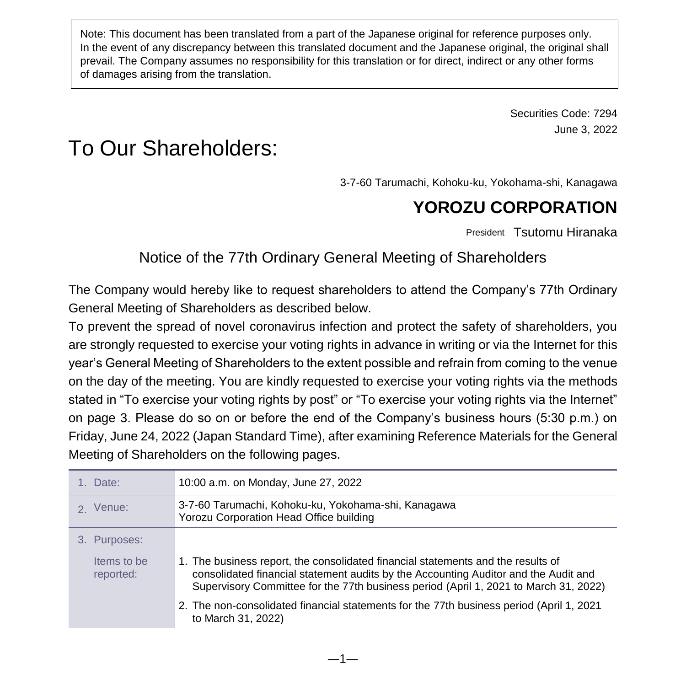Note: This document has been translated from a part of the Japanese original for reference purposes only. In the event of any discrepancy between this translated document and the Japanese original, the original shall prevail. The Company assumes no responsibility for this translation or for direct, indirect or any other forms of damages arising from the translation.

> Securities Code: 7294 June 3, 2022

# To Our Shareholders:

3-7-60 Tarumachi, Kohoku-ku, Yokohama-shi, Kanagawa

## **YOROZU CORPORATION**

President Tsutomu Hiranaka

### Notice of the 77th Ordinary General Meeting of Shareholders

The Company would hereby like to request shareholders to attend the Company's 77th Ordinary General Meeting of Shareholders as described below.

To prevent the spread of novel coronavirus infection and protect the safety of shareholders, you are strongly requested to exercise your voting rights in advance in writing or via the Internet for this year's General Meeting of Shareholders to the extent possible and refrain from coming to the venue on the day of the meeting. You are kindly requested to exercise your voting rights via the methods stated in "To exercise your voting rights by post" or "To exercise your voting rights via the Internet" on page 3. Please do so on or before the end of the Company's business hours (5:30 p.m.) on Friday, June 24, 2022 (Japan Standard Time), after examining Reference Materials for the General Meeting of Shareholders on the following pages.

| 1. Date:                 | 10:00 a.m. on Monday, June 27, 2022                                                                                                                                                                                                                             |
|--------------------------|-----------------------------------------------------------------------------------------------------------------------------------------------------------------------------------------------------------------------------------------------------------------|
| 2 Venue:                 | 3-7-60 Tarumachi, Kohoku-ku, Yokohama-shi, Kanagawa<br>Yorozu Corporation Head Office building                                                                                                                                                                  |
| 3. Purposes:             |                                                                                                                                                                                                                                                                 |
| Items to be<br>reported: | 1. The business report, the consolidated financial statements and the results of<br>consolidated financial statement audits by the Accounting Auditor and the Audit and<br>Supervisory Committee for the 77th business period (April 1, 2021 to March 31, 2022) |
|                          | 2. The non-consolidated financial statements for the 77th business period (April 1, 2021<br>to March 31, 2022)                                                                                                                                                  |

―1―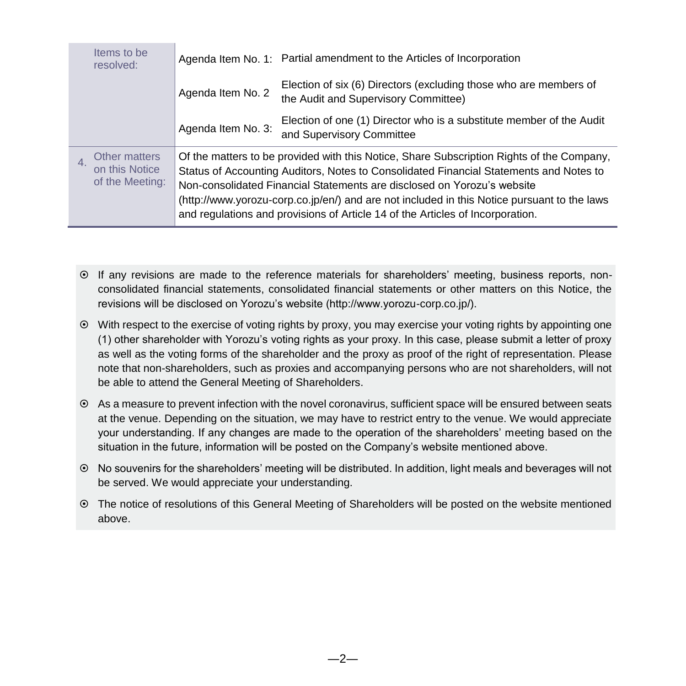| Items to be<br>resolved:                           |                    | Agenda Item No. 1: Partial amendment to the Articles of Incorporation                                                                                                                                                                                                                                                                                                                                                                           |
|----------------------------------------------------|--------------------|-------------------------------------------------------------------------------------------------------------------------------------------------------------------------------------------------------------------------------------------------------------------------------------------------------------------------------------------------------------------------------------------------------------------------------------------------|
|                                                    | Agenda Item No. 2  | Election of six (6) Directors (excluding those who are members of<br>the Audit and Supervisory Committee)                                                                                                                                                                                                                                                                                                                                       |
|                                                    | Agenda Item No. 3: | Election of one (1) Director who is a substitute member of the Audit<br>and Supervisory Committee                                                                                                                                                                                                                                                                                                                                               |
| Other matters<br>on this Notice<br>of the Meeting: |                    | Of the matters to be provided with this Notice, Share Subscription Rights of the Company,<br>Status of Accounting Auditors, Notes to Consolidated Financial Statements and Notes to<br>Non-consolidated Financial Statements are disclosed on Yorozu's website<br>(http://www.yorozu-corp.co.jp/en/) and are not included in this Notice pursuant to the laws<br>and regulations and provisions of Article 14 of the Articles of Incorporation. |

- If any revisions are made to the reference materials for shareholders' meeting, business reports, nonconsolidated financial statements, consolidated financial statements or other matters on this Notice, the revisions will be disclosed on Yorozu's website (http://www.yorozu-corp.co.jp/).
- With respect to the exercise of voting rights by proxy, you may exercise your voting rights by appointing one (1) other shareholder with Yorozu's voting rights as your proxy. In this case, please submit a letter of proxy as well as the voting forms of the shareholder and the proxy as proof of the right of representation. Please note that non-shareholders, such as proxies and accompanying persons who are not shareholders, will not be able to attend the General Meeting of Shareholders.
- As a measure to prevent infection with the novel coronavirus, sufficient space will be ensured between seats at the venue. Depending on the situation, we may have to restrict entry to the venue. We would appreciate your understanding. If any changes are made to the operation of the shareholders' meeting based on the situation in the future, information will be posted on the Company's website mentioned above.
- No souvenirs for the shareholders' meeting will be distributed. In addition, light meals and beverages will not be served. We would appreciate your understanding.
- The notice of resolutions of this General Meeting of Shareholders will be posted on the website mentioned above.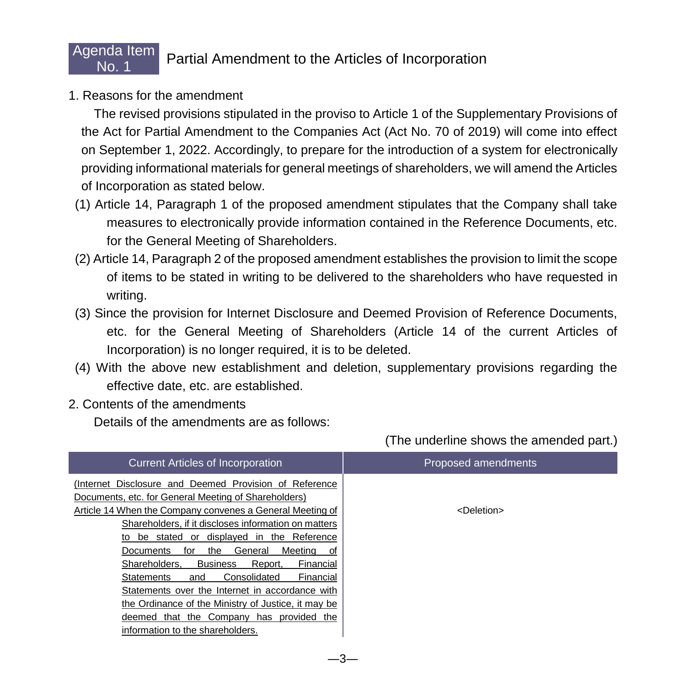## Filida Refill Partial Amendment to the Articles of Incorporation

1. Reasons for the amendment

Agenda Item

 The revised provisions stipulated in the proviso to Article 1 of the Supplementary Provisions of the Act for Partial Amendment to the Companies Act (Act No. 70 of 2019) will come into effect on September 1, 2022. Accordingly, to prepare for the introduction of a system for electronically providing informational materials for general meetings of shareholders, we will amend the Articles of Incorporation as stated below.

- (1) Article 14, Paragraph 1 of the proposed amendment stipulates that the Company shall take measures to electronically provide information contained in the Reference Documents, etc. for the General Meeting of Shareholders.
- (2) Article 14, Paragraph 2 of the proposed amendment establishes the provision to limit the scope of items to be stated in writing to be delivered to the shareholders who have requested in writing.
- (3) Since the provision for Internet Disclosure and Deemed Provision of Reference Documents, etc. for the General Meeting of Shareholders (Article 14 of the current Articles of Incorporation) is no longer required, it is to be deleted.
- (4) With the above new establishment and deletion, supplementary provisions regarding the effective date, etc. are established.
- 2. Contents of the amendments

Details of the amendments are as follows:

| <b>Current Articles of Incorporation</b>                                                                                                                                                                                                                                                                                                                                                                                                                                                                                                                                                                                                                          | Proposed amendments   |
|-------------------------------------------------------------------------------------------------------------------------------------------------------------------------------------------------------------------------------------------------------------------------------------------------------------------------------------------------------------------------------------------------------------------------------------------------------------------------------------------------------------------------------------------------------------------------------------------------------------------------------------------------------------------|-----------------------|
| (Internet Disclosure and Deemed Provision of Reference<br>Documents, etc. for General Meeting of Shareholders)<br>Article 14 When the Company convenes a General Meeting of<br>Shareholders, if it discloses information on matters<br>be stated or displayed in the Reference<br>to<br>General<br>Meetina<br><b>Documents</b><br>the<br>for<br>0f<br>Shareholders.<br><b>Business</b><br>Report,<br>Financial<br>Consolidated<br>Financial<br><b>Statements</b><br>and<br>Statements over the Internet in accordance with<br>the Ordinance of the Ministry of Justice, it may be<br>deemed that the Company has provided the<br>information to the shareholders. | <deletion></deletion> |

(The underline shows the amended part.)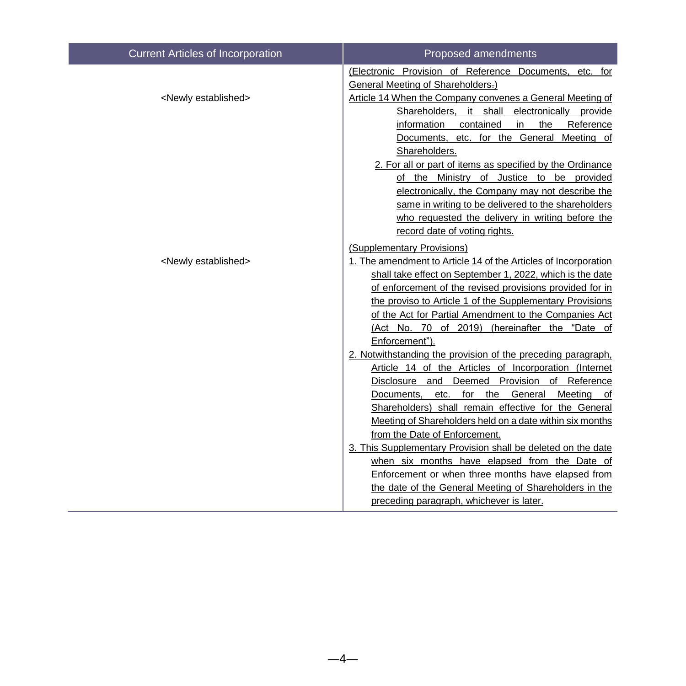| <b>Current Articles of Incorporation</b> | Proposed amendments                                                                                                   |
|------------------------------------------|-----------------------------------------------------------------------------------------------------------------------|
|                                          | (Electronic Provision of Reference Documents, etc. for<br>General Meeting of Shareholders-)                           |
| <newly established=""></newly>           | Article 14 When the Company convenes a General Meeting of                                                             |
|                                          | Shareholders, it shall electronically provide                                                                         |
|                                          | information contained<br>in<br>the<br>Reference                                                                       |
|                                          | Documents, etc. for the General Meeting of                                                                            |
|                                          | Shareholders.                                                                                                         |
|                                          | 2. For all or part of items as specified by the Ordinance                                                             |
|                                          | of the Ministry of Justice to be provided                                                                             |
|                                          | electronically, the Company may not describe the                                                                      |
|                                          | same in writing to be delivered to the shareholders                                                                   |
|                                          | who requested the delivery in writing before the                                                                      |
|                                          | record date of voting rights.                                                                                         |
|                                          | (Supplementary Provisions)                                                                                            |
| <newly established=""></newly>           | 1. The amendment to Article 14 of the Articles of Incorporation                                                       |
|                                          | shall take effect on September 1, 2022, which is the date                                                             |
|                                          | of enforcement of the revised provisions provided for in                                                              |
|                                          | the proviso to Article 1 of the Supplementary Provisions                                                              |
|                                          | of the Act for Partial Amendment to the Companies Act                                                                 |
|                                          | (Act No. 70 of 2019) (hereinafter the "Date of                                                                        |
|                                          | Enforcement").                                                                                                        |
|                                          | 2. Notwithstanding the provision of the preceding paragraph,<br>Article 14 of the Articles of Incorporation (Internet |
|                                          | Disclosure and Deemed Provision of Reference                                                                          |
|                                          | etc. for the General<br>Meeting of<br>Documents.                                                                      |
|                                          | Shareholders) shall remain effective for the General                                                                  |
|                                          | Meeting of Shareholders held on a date within six months                                                              |
|                                          | from the Date of Enforcement.                                                                                         |
|                                          | 3. This Supplementary Provision shall be deleted on the date                                                          |
|                                          | when six months have elapsed from the Date of                                                                         |
|                                          | Enforcement or when three months have elapsed from                                                                    |
|                                          | the date of the General Meeting of Shareholders in the                                                                |
|                                          | preceding paragraph, whichever is later.                                                                              |
|                                          |                                                                                                                       |

 $-4-$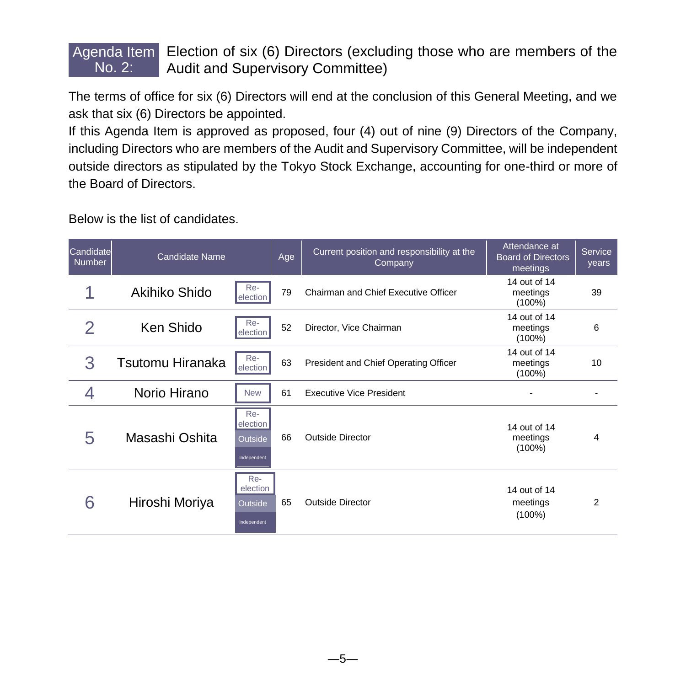#### Agenda Item **Election of six (6) Directors (excluding those who are members of the** No. 2: Audit and Supervisory Committee)

The terms of office for six (6) Directors will end at the conclusion of this General Meeting, and we ask that six (6) Directors be appointed.

If this Agenda Item is approved as proposed, four (4) out of nine (9) Directors of the Company, including Directors who are members of the Audit and Supervisory Committee, will be independent outside directors as stipulated by the Tokyo Stock Exchange, accounting for one-third or more of the Board of Directors.

Below is the list of candidates.

| Candidate<br><b>Number</b> | <b>Candidate Name</b> |                                           | Age | Current position and responsibility at the<br>Company | Attendance at<br><b>Board of Directors</b><br>meetings | Service<br>years |
|----------------------------|-----------------------|-------------------------------------------|-----|-------------------------------------------------------|--------------------------------------------------------|------------------|
|                            | Akihiko Shido         | Re-<br>election                           | 79  | Chairman and Chief Executive Officer                  | 14 out of 14<br>meetings<br>$(100\%)$                  | 39               |
| 2                          | Ken Shido             | Re-<br><b>election</b>                    | 52  | Director, Vice Chairman                               | 14 out of 14<br>meetings<br>$(100\%)$                  | 6                |
| 3                          | Tsutomu Hiranaka      | Re-<br>election                           | 63  | President and Chief Operating Officer                 | 14 out of 14<br>meetings<br>$(100\%)$                  | 10               |
|                            | Norio Hirano          | <b>New</b>                                | 61  | <b>Executive Vice President</b>                       |                                                        |                  |
| 5                          | Masashi Oshita        | Re-<br>election<br>Outside<br>Independent | 66  | <b>Outside Director</b>                               | 14 out of 14<br>meetings<br>$(100\%)$                  | 4                |
| 6                          | Hiroshi Moriya        | Re-<br>election<br>Outside<br>Independent | 65  | <b>Outside Director</b>                               | 14 out of 14<br>meetings<br>$(100\%)$                  | 2                |

 $-5-$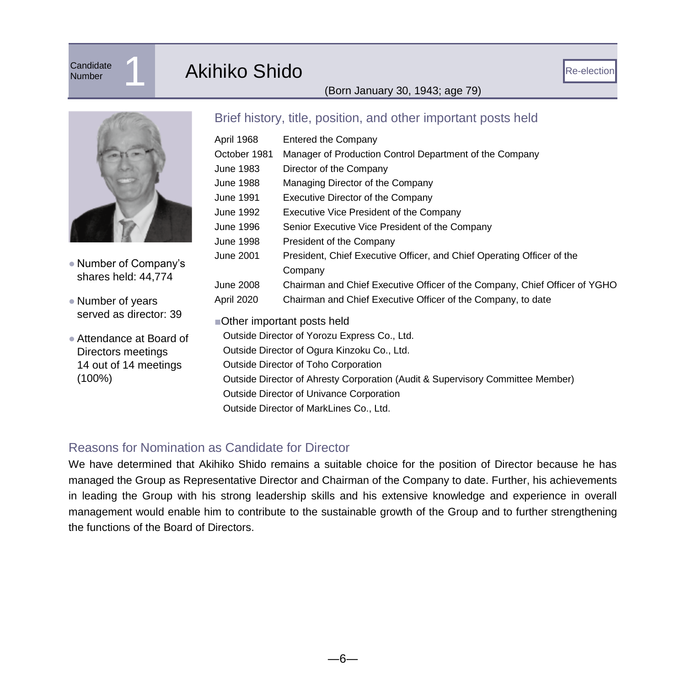# **Candidate**

## Candidate 1 Akihiko Shido

#### (Born January 30, 1943; age 79)



- Number of Company's shares held: 44,774
- Number of years served as director: 39
- Attendance at Board of Directors meetings 14 out of 14 meetings (100%)

#### Brief history, title, position, and other important posts held

| April 1968                                                                     | <b>Entered the Company</b>                                                 |  |  |  |
|--------------------------------------------------------------------------------|----------------------------------------------------------------------------|--|--|--|
| October 1981                                                                   | Manager of Production Control Department of the Company                    |  |  |  |
| June 1983                                                                      | Director of the Company                                                    |  |  |  |
| June 1988                                                                      | Managing Director of the Company                                           |  |  |  |
| June 1991                                                                      | Executive Director of the Company                                          |  |  |  |
| June 1992                                                                      | Executive Vice President of the Company                                    |  |  |  |
| June 1996                                                                      | Senior Executive Vice President of the Company                             |  |  |  |
| June 1998                                                                      | President of the Company                                                   |  |  |  |
| June 2001                                                                      | President, Chief Executive Officer, and Chief Operating Officer of the     |  |  |  |
|                                                                                | Company                                                                    |  |  |  |
| June 2008                                                                      | Chairman and Chief Executive Officer of the Company, Chief Officer of YGHO |  |  |  |
| April 2020                                                                     | Chairman and Chief Executive Officer of the Company, to date               |  |  |  |
|                                                                                | ■Other important posts held                                                |  |  |  |
|                                                                                | Outside Director of Yorozu Express Co., Ltd.                               |  |  |  |
| Outside Director of Ogura Kinzoku Co., Ltd.                                    |                                                                            |  |  |  |
| Outside Director of Toho Corporation                                           |                                                                            |  |  |  |
| Outside Director of Ahresty Corporation (Audit & Supervisory Committee Member) |                                                                            |  |  |  |
| Outside Director of Univance Corporation                                       |                                                                            |  |  |  |
|                                                                                | Outside Director of MarkLines Co., Ltd.                                    |  |  |  |
|                                                                                |                                                                            |  |  |  |

#### Reasons for Nomination as Candidate for Director

We have determined that Akihiko Shido remains a suitable choice for the position of Director because he has managed the Group as Representative Director and Chairman of the Company to date. Further, his achievements in leading the Group with his strong leadership skills and his extensive knowledge and experience in overall management would enable him to contribute to the sustainable growth of the Group and to further strengthening the functions of the Board of Directors.

―6―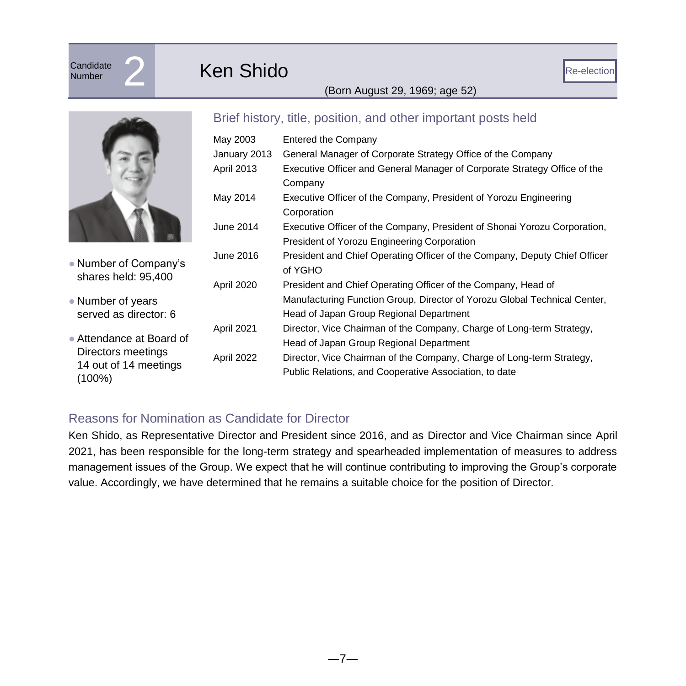# **Candidate**

## **Candidate 2 Ken Shido**

#### (Born August 29, 1969; age 52)



- Number of Company's shares held: 95,400
- Number of years served as director: 6
- Attendance at Board of Directors meetings 14 out of 14 meetings (100%)

#### Brief history, title, position, and other important posts held

| May 2003     | Entered the Company                                                        |
|--------------|----------------------------------------------------------------------------|
| January 2013 | General Manager of Corporate Strategy Office of the Company                |
| April 2013   | Executive Officer and General Manager of Corporate Strategy Office of the  |
|              | Company                                                                    |
| May 2014     | Executive Officer of the Company, President of Yorozu Engineering          |
|              | Corporation                                                                |
| June 2014    | Executive Officer of the Company, President of Shonai Yorozu Corporation,  |
|              | President of Yorozu Engineering Corporation                                |
| June 2016    | President and Chief Operating Officer of the Company, Deputy Chief Officer |
|              | of YGHO                                                                    |
| April 2020   | President and Chief Operating Officer of the Company, Head of              |
|              | Manufacturing Function Group, Director of Yorozu Global Technical Center,  |
|              | Head of Japan Group Regional Department                                    |
| April 2021   | Director, Vice Chairman of the Company, Charge of Long-term Strategy,      |
|              | Head of Japan Group Regional Department                                    |
| April 2022   | Director, Vice Chairman of the Company, Charge of Long-term Strategy,      |
|              | Public Relations, and Cooperative Association, to date                     |
|              |                                                                            |

#### Reasons for Nomination as Candidate for Director

Ken Shido, as Representative Director and President since 2016, and as Director and Vice Chairman since April 2021, has been responsible for the long-term strategy and spearheaded implementation of measures to address management issues of the Group. We expect that he will continue contributing to improving the Group's corporate value. Accordingly, we have determined that he remains a suitable choice for the position of Director.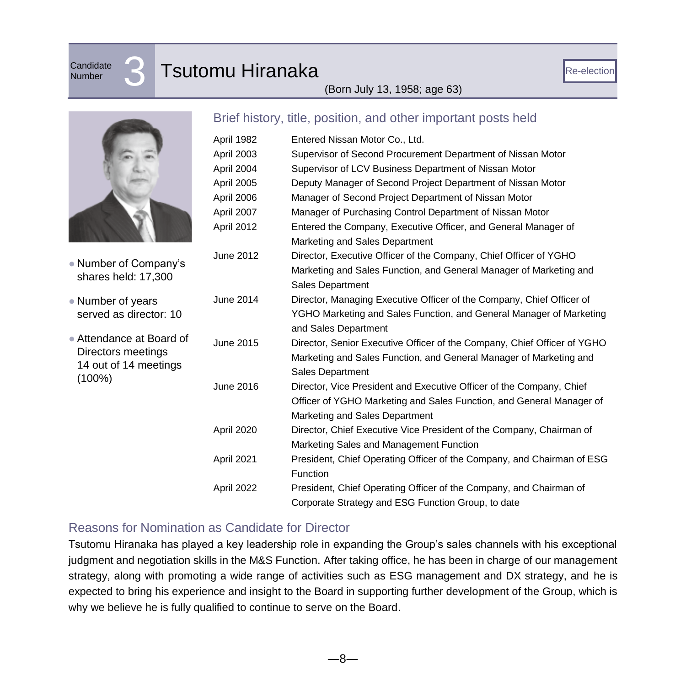**Candidate** 

## **Candidate 3** Tsutomu Hiranaka

#### (Born July 13, 1958; age 63)

|            | Brief history, title, position, and other |
|------------|-------------------------------------------|
| April 1982 | Entered Nissan Motor Co., Ltd.            |
| April 2003 | Supervisor of Second Procurer             |
| April 2004 | Supervisor of LCV Business D              |
| April 2005 | Deputy Manager of Second Pr               |
| April 2006 | Manager of Second Project De              |
| April 2007 | Manager of Purchasing Contro              |
| April 2012 | Entered the Company, Executi              |
|            | Marketing and Sales Department            |

#### Brief history, title, position, and other important posts held

|                          | APIII IJUL | Lillorou Mosail Motor Oo., Ltu.                                                               |
|--------------------------|------------|-----------------------------------------------------------------------------------------------|
|                          | April 2003 | Supervisor of Second Procurement Department of Nissan Motor                                   |
|                          | April 2004 | Supervisor of LCV Business Department of Nissan Motor                                         |
|                          | April 2005 | Deputy Manager of Second Project Department of Nissan Motor                                   |
|                          | April 2006 | Manager of Second Project Department of Nissan Motor                                          |
|                          | April 2007 | Manager of Purchasing Control Department of Nissan Motor                                      |
|                          | April 2012 | Entered the Company, Executive Officer, and General Manager of                                |
|                          |            | Marketing and Sales Department                                                                |
| • Number of Company's    | June 2012  | Director, Executive Officer of the Company, Chief Officer of YGHO                             |
| shares held: 17,300      |            | Marketing and Sales Function, and General Manager of Marketing and<br><b>Sales Department</b> |
| • Number of years        | June 2014  | Director, Managing Executive Officer of the Company, Chief Officer of                         |
| served as director: 10   |            | YGHO Marketing and Sales Function, and General Manager of Marketing                           |
|                          |            | and Sales Department                                                                          |
| • Attendance at Board of | June 2015  | Director, Senior Executive Officer of the Company, Chief Officer of YGHO                      |
| Directors meetings       |            | Marketing and Sales Function, and General Manager of Marketing and                            |
| 14 out of 14 meetings    |            | Sales Department                                                                              |
| (100%)                   | June 2016  | Director, Vice President and Executive Officer of the Company, Chief                          |
|                          |            | Officer of YGHO Marketing and Sales Function, and General Manager of                          |
|                          |            | Marketing and Sales Department                                                                |
|                          | April 2020 | Director, Chief Executive Vice President of the Company, Chairman of                          |
|                          |            | Marketing Sales and Management Function                                                       |
|                          | April 2021 | President, Chief Operating Officer of the Company, and Chairman of ESG                        |
|                          |            | <b>Function</b>                                                                               |
|                          | April 2022 | President, Chief Operating Officer of the Company, and Chairman of                            |
|                          |            | Corporate Strategy and ESG Function Group, to date                                            |

#### Reasons for Nomination as Candidate for Director

Tsutomu Hiranaka has played a key leadership role in expanding the Group's sales channels with his exceptional judgment and negotiation skills in the M&S Function. After taking office, he has been in charge of our management strategy, along with promoting a wide range of activities such as ESG management and DX strategy, and he is expected to bring his experience and insight to the Board in supporting further development of the Group, which is why we believe he is fully qualified to continue to serve on the Board.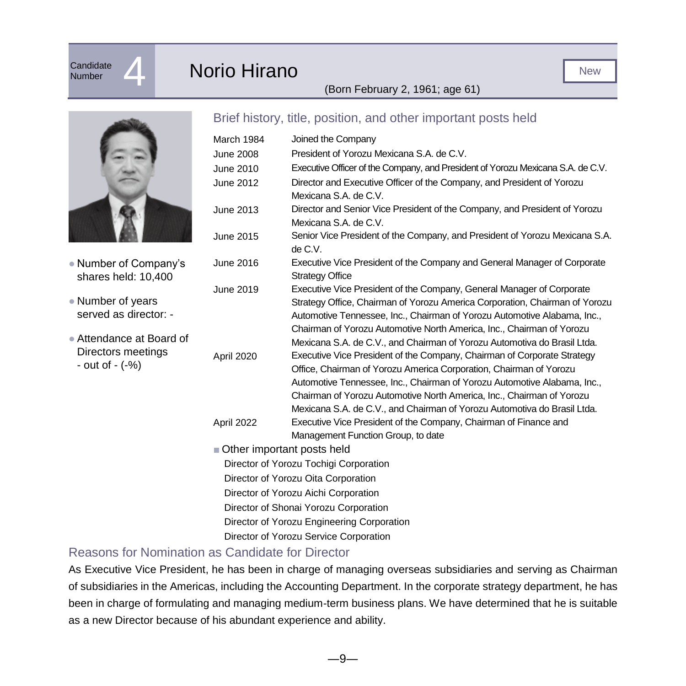## Candidate **4 Norio Hirano**

#### (Born February 2, 1961; age 61)



- Number of Company's shares held: 10,400
- Number of years served as director: -
- Attendance at Board of Directors meetings - out of - (-%)

#### Brief history, title, position, and other important posts held

| March 1984                             | Joined the Company                                                              |  |  |  |
|----------------------------------------|---------------------------------------------------------------------------------|--|--|--|
| <b>June 2008</b>                       | President of Yorozu Mexicana S.A. de C.V.                                       |  |  |  |
| June 2010                              | Executive Officer of the Company, and President of Yorozu Mexicana S.A. de C.V. |  |  |  |
| June 2012                              | Director and Executive Officer of the Company, and President of Yorozu          |  |  |  |
|                                        | Mexicana S.A. de C.V.                                                           |  |  |  |
| June 2013                              | Director and Senior Vice President of the Company, and President of Yorozu      |  |  |  |
|                                        | Mexicana S.A. de C.V.                                                           |  |  |  |
| June 2015                              | Senior Vice President of the Company, and President of Yorozu Mexicana S.A.     |  |  |  |
|                                        | de C.V.                                                                         |  |  |  |
| June 2016                              | Executive Vice President of the Company and General Manager of Corporate        |  |  |  |
|                                        | <b>Strategy Office</b>                                                          |  |  |  |
| June 2019                              | Executive Vice President of the Company, General Manager of Corporate           |  |  |  |
|                                        | Strategy Office, Chairman of Yorozu America Corporation, Chairman of Yorozu     |  |  |  |
|                                        | Automotive Tennessee, Inc., Chairman of Yorozu Automotive Alabama, Inc.,        |  |  |  |
|                                        | Chairman of Yorozu Automotive North America, Inc., Chairman of Yorozu           |  |  |  |
|                                        | Mexicana S.A. de C.V., and Chairman of Yorozu Automotiva do Brasil Ltda.        |  |  |  |
| April 2020                             | Executive Vice President of the Company, Chairman of Corporate Strategy         |  |  |  |
|                                        | Office, Chairman of Yorozu America Corporation, Chairman of Yorozu              |  |  |  |
|                                        | Automotive Tennessee, Inc., Chairman of Yorozu Automotive Alabama, Inc.,        |  |  |  |
|                                        | Chairman of Yorozu Automotive North America, Inc., Chairman of Yorozu           |  |  |  |
|                                        | Mexicana S.A. de C.V., and Chairman of Yorozu Automotiva do Brasil Ltda.        |  |  |  |
| April 2022                             | Executive Vice President of the Company, Chairman of Finance and                |  |  |  |
|                                        | Management Function Group, to date                                              |  |  |  |
| Other important posts held             |                                                                                 |  |  |  |
| Director of Yorozu Tochigi Corporation |                                                                                 |  |  |  |
|                                        | Director of Yorozu Oita Corporation                                             |  |  |  |

- Director of Yorozu Aichi Corporation
- Director of Shonai Yorozu Corporation
- Director of Yorozu Engineering Corporation
- Director of Yorozu Service Corporation

#### Reasons for Nomination as Candidate for Director

As Executive Vice President, he has been in charge of managing overseas subsidiaries and serving as Chairman of subsidiaries in the Americas, including the Accounting Department. In the corporate strategy department, he has been in charge of formulating and managing medium-term business plans. We have determined that he is suitable as a new Director because of his abundant experience and ability.

―9―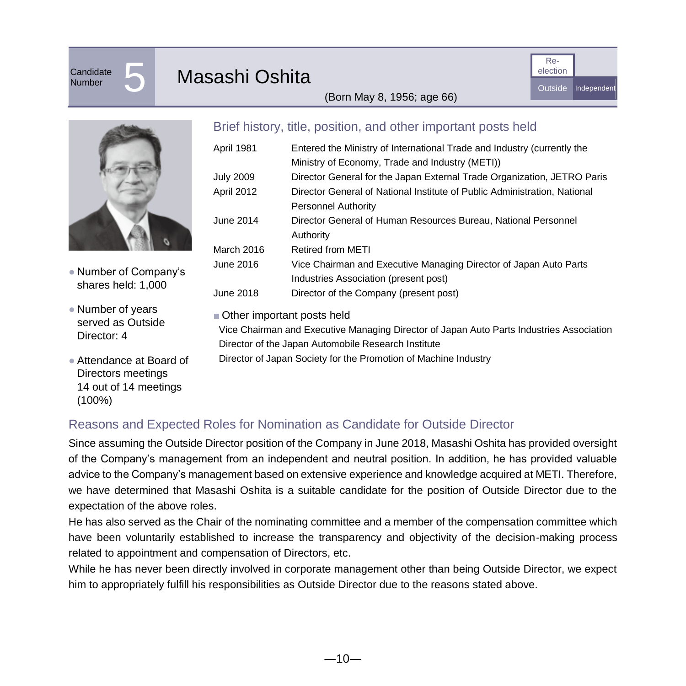## Candidate<br>Number

### Masashi Oshita



(Born May 8, 1956; age 66)



● Number of Company's shares held: 1,000

- Number of years served as Outside Director: 4
- Attendance at Board of Directors meetings 14 out of 14 meetings (100%)

#### Brief history, title, position, and other important posts held

| April 1981       | Entered the Ministry of International Trade and Industry (currently the   |
|------------------|---------------------------------------------------------------------------|
|                  | Ministry of Economy, Trade and Industry (METI))                           |
| <b>July 2009</b> | Director General for the Japan External Trade Organization, JETRO Paris   |
| April 2012       | Director General of National Institute of Public Administration, National |
|                  | <b>Personnel Authority</b>                                                |
| June 2014        | Director General of Human Resources Bureau, National Personnel            |
|                  | Authority                                                                 |
| March 2016       | <b>Retired from METI</b>                                                  |
| June 2016        | Vice Chairman and Executive Managing Director of Japan Auto Parts         |
|                  | Industries Association (present post)                                     |
| June 2018        | Director of the Company (present post)                                    |

■ Other important posts held

Vice Chairman and Executive Managing Director of Japan Auto Parts Industries Association Director of the Japan Automobile Research Institute

Director of Japan Society for the Promotion of Machine Industry

#### Reasons and Expected Roles for Nomination as Candidate for Outside Director

Since assuming the Outside Director position of the Company in June 2018, Masashi Oshita has provided oversight of the Company's management from an independent and neutral position. In addition, he has provided valuable advice to the Company's management based on extensive experience and knowledge acquired at METI. Therefore, we have determined that Masashi Oshita is a suitable candidate for the position of Outside Director due to the expectation of the above roles.

He has also served as the Chair of the nominating committee and a member of the compensation committee which have been voluntarily established to increase the transparency and objectivity of the decision-making process related to appointment and compensation of Directors, etc.

While he has never been directly involved in corporate management other than being Outside Director, we expect him to appropriately fulfill his responsibilities as Outside Director due to the reasons stated above.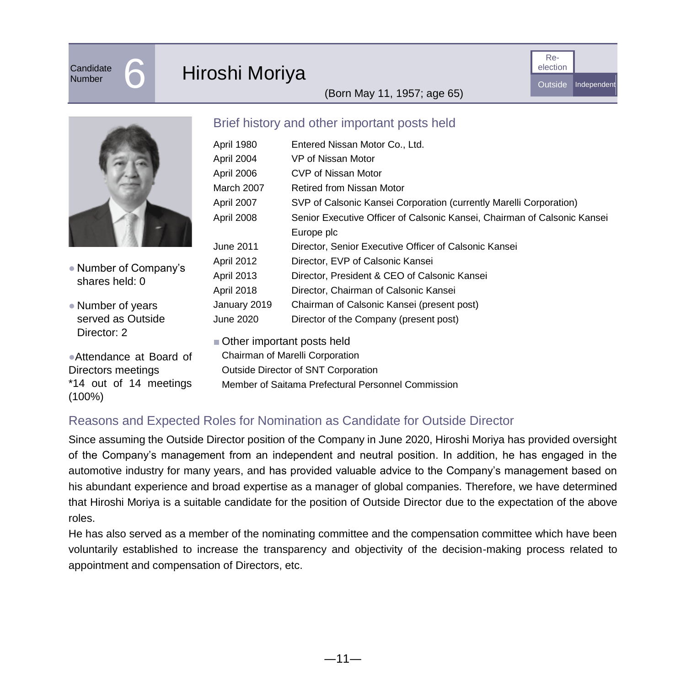Candidate<br>Number

## Hiroshi Moriya



(Born May 11, 1957; age 65)



● Number of Company's shares held: 0

● Number of years served as Outside Director: 2

●Attendance at Board of Directors meetings \*14 out of 14 meetings (100%)

#### Brief history and other important posts held

| April 1980   | Entered Nissan Motor Co., Ltd.                                           |
|--------------|--------------------------------------------------------------------------|
| April 2004   | VP of Nissan Motor                                                       |
| April 2006   | CVP of Nissan Motor                                                      |
| March 2007   | Retired from Nissan Motor                                                |
| April 2007   | SVP of Calsonic Kansei Corporation (currently Marelli Corporation)       |
| April 2008   | Senior Executive Officer of Calsonic Kansei, Chairman of Calsonic Kansei |
|              | Europe plc                                                               |
| June 2011    | Director, Senior Executive Officer of Calsonic Kansei                    |
| April 2012   | Director, EVP of Calsonic Kansei                                         |
| April 2013   | Director, President & CEO of Calsonic Kansei                             |
| April 2018   | Director, Chairman of Calsonic Kansei                                    |
| January 2019 | Chairman of Calsonic Kansei (present post)                               |
| June 2020    | Director of the Company (present post)                                   |
|              |                                                                          |

■ Other important posts held

Chairman of Marelli Corporation Outside Director of SNT Corporation Member of Saitama Prefectural Personnel Commission

#### Reasons and Expected Roles for Nomination as Candidate for Outside Director

Since assuming the Outside Director position of the Company in June 2020, Hiroshi Moriya has provided oversight of the Company's management from an independent and neutral position. In addition, he has engaged in the automotive industry for many years, and has provided valuable advice to the Company's management based on his abundant experience and broad expertise as a manager of global companies. Therefore, we have determined that Hiroshi Moriya is a suitable candidate for the position of Outside Director due to the expectation of the above roles.

He has also served as a member of the nominating committee and the compensation committee which have been voluntarily established to increase the transparency and objectivity of the decision-making process related to appointment and compensation of Directors, etc.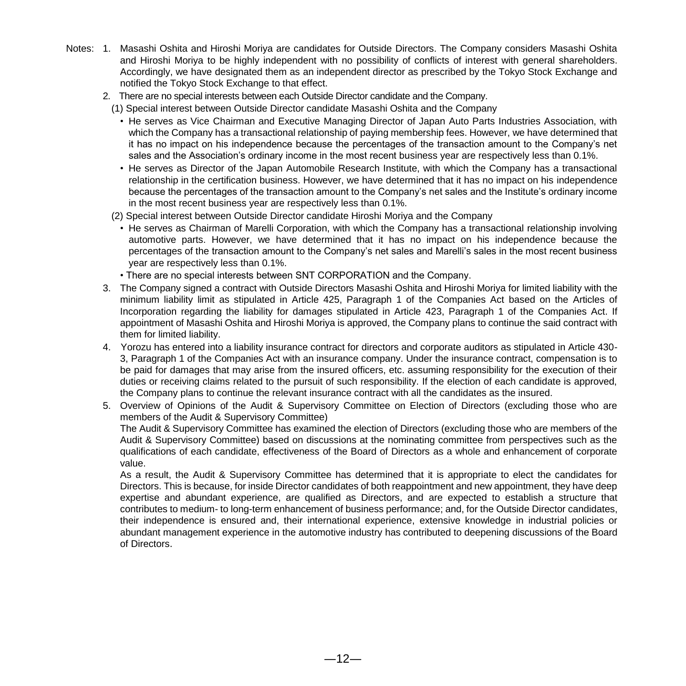- Notes: 1. Masashi Oshita and Hiroshi Moriya are candidates for Outside Directors. The Company considers Masashi Oshita and Hiroshi Moriya to be highly independent with no possibility of conflicts of interest with general shareholders. Accordingly, we have designated them as an independent director as prescribed by the Tokyo Stock Exchange and notified the Tokyo Stock Exchange to that effect.
	- 2. There are no special interests between each Outside Director candidate and the Company.
		- (1) Special interest between Outside Director candidate Masashi Oshita and the Company
			- He serves as Vice Chairman and Executive Managing Director of Japan Auto Parts Industries Association, with which the Company has a transactional relationship of paying membership fees. However, we have determined that it has no impact on his independence because the percentages of the transaction amount to the Company's net sales and the Association's ordinary income in the most recent business year are respectively less than 0.1%.
			- He serves as Director of the Japan Automobile Research Institute, with which the Company has a transactional relationship in the certification business. However, we have determined that it has no impact on his independence because the percentages of the transaction amount to the Company's net sales and the Institute's ordinary income in the most recent business year are respectively less than 0.1%.
		- (2) Special interest between Outside Director candidate Hiroshi Moriya and the Company
			- He serves as Chairman of Marelli Corporation, with which the Company has a transactional relationship involving automotive parts. However, we have determined that it has no impact on his independence because the percentages of the transaction amount to the Company's net sales and Marelli's sales in the most recent business year are respectively less than 0.1%.
			- There are no special interests between SNT CORPORATION and the Company.
	- 3. The Company signed a contract with Outside Directors Masashi Oshita and Hiroshi Moriya for limited liability with the minimum liability limit as stipulated in Article 425, Paragraph 1 of the Companies Act based on the Articles of Incorporation regarding the liability for damages stipulated in Article 423, Paragraph 1 of the Companies Act. If appointment of Masashi Oshita and Hiroshi Moriya is approved, the Company plans to continue the said contract with them for limited liability.
	- 4. Yorozu has entered into a liability insurance contract for directors and corporate auditors as stipulated in Article 430- 3, Paragraph 1 of the Companies Act with an insurance company. Under the insurance contract, compensation is to be paid for damages that may arise from the insured officers, etc. assuming responsibility for the execution of their duties or receiving claims related to the pursuit of such responsibility. If the election of each candidate is approved, the Company plans to continue the relevant insurance contract with all the candidates as the insured.
	- 5. Overview of Opinions of the Audit & Supervisory Committee on Election of Directors (excluding those who are members of the Audit & Supervisory Committee)

The Audit & Supervisory Committee has examined the election of Directors (excluding those who are members of the Audit & Supervisory Committee) based on discussions at the nominating committee from perspectives such as the qualifications of each candidate, effectiveness of the Board of Directors as a whole and enhancement of corporate value.

As a result, the Audit & Supervisory Committee has determined that it is appropriate to elect the candidates for Directors. This is because, for inside Director candidates of both reappointment and new appointment, they have deep expertise and abundant experience, are qualified as Directors, and are expected to establish a structure that contributes to medium- to long-term enhancement of business performance; and, for the Outside Director candidates, their independence is ensured and, their international experience, extensive knowledge in industrial policies or abundant management experience in the automotive industry has contributed to deepening discussions of the Board of Directors.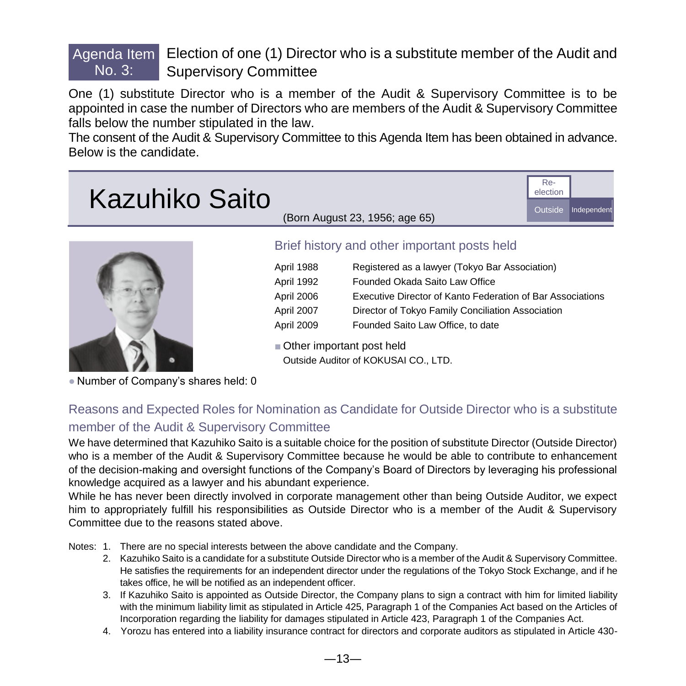#### Agenda Item **Election of one (1) Director who is a substitute member of the Audit and** No. 3: Supervisory Committee

One (1) substitute Director who is a member of the Audit & Supervisory Committee is to be appointed in case the number of Directors who are members of the Audit & Supervisory Committee falls below the number stipulated in the law.

The consent of the Audit & Supervisory Committee to this Agenda Item has been obtained in advance. Below is the candidate.

| <b>Kazuhiko Saito</b> |                                | Re- | Outside Independent |
|-----------------------|--------------------------------|-----|---------------------|
|                       | (Born August 23, 1956; age 65) |     |                     |
|                       |                                |     |                     |



#### Brief history and other important posts held

| April 1988 | Registered as a lawyer (Tokyo Bar Association)             |
|------------|------------------------------------------------------------|
| April 1992 | Founded Okada Saito Law Office                             |
| April 2006 | Executive Director of Kanto Federation of Bar Associations |
| April 2007 | Director of Tokyo Family Conciliation Association          |
| April 2009 | Founded Saito Law Office, to date                          |

■ Other important post held Outside Auditor of KOKUSAI CO., LTD.

● Number of Company's shares held: 0

### Reasons and Expected Roles for Nomination as Candidate for Outside Director who is a substitute member of the Audit & Supervisory Committee

We have determined that Kazuhiko Saito is a suitable choice for the position of substitute Director (Outside Director) who is a member of the Audit & Supervisory Committee because he would be able to contribute to enhancement of the decision-making and oversight functions of the Company's Board of Directors by leveraging his professional knowledge acquired as a lawyer and his abundant experience.

While he has never been directly involved in corporate management other than being Outside Auditor, we expect him to appropriately fulfill his responsibilities as Outside Director who is a member of the Audit & Supervisory Committee due to the reasons stated above.

Notes: 1. There are no special interests between the above candidate and the Company.

- 2. Kazuhiko Saito is a candidate for a substitute Outside Director who is a member of the Audit & Supervisory Committee. He satisfies the requirements for an independent director under the regulations of the Tokyo Stock Exchange, and if he takes office, he will be notified as an independent officer.
- 3. If Kazuhiko Saito is appointed as Outside Director, the Company plans to sign a contract with him for limited liability with the minimum liability limit as stipulated in Article 425, Paragraph 1 of the Companies Act based on the Articles of Incorporation regarding the liability for damages stipulated in Article 423, Paragraph 1 of the Companies Act.
- 4. Yorozu has entered into a liability insurance contract for directors and corporate auditors as stipulated in Article 430-